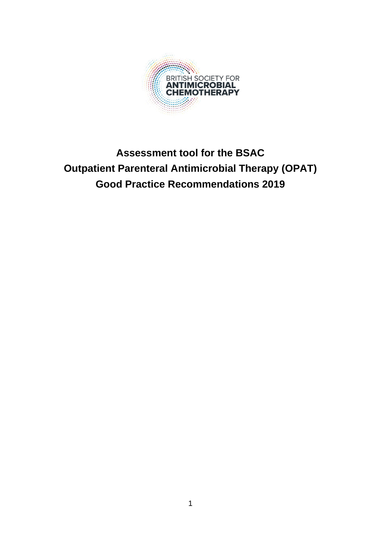

# **Assessment tool for the BSAC Outpatient Parenteral Antimicrobial Therapy (OPAT) Good Practice Recommendations 2019**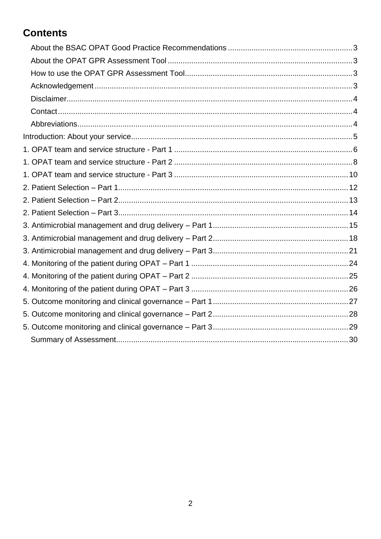## **Contents**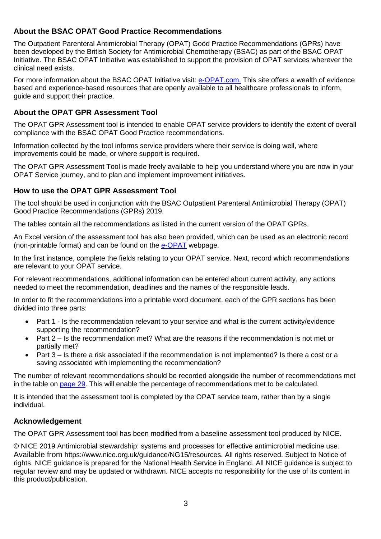### <span id="page-2-0"></span>**About the BSAC OPAT Good Practice Recommendations**

The Outpatient Parenteral Antimicrobial Therapy (OPAT) Good Practice Recommendations (GPRs) have been developed by the British Society for Antimicrobial Chemotherapy (BSAC) as part of the BSAC OPAT Initiative. The BSAC OPAT Initiative was established to support the provision of OPAT services wherever the clinical need exists.

For more information about the BSAC OPAT Initiative visit: [e-OPAT.com.](file://///BSACDC/Common/BSAC/BSAC_OPAT/Good%20Practice%20Rec/Audit%20Tool/e-opat.com) This site offers a wealth of evidence based and experience-based resources that are openly available to all healthcare professionals to inform, guide and support their practice.

#### <span id="page-2-1"></span>**About the OPAT GPR Assessment Tool**

The OPAT GPR Assessment tool is intended to enable OPAT service providers to identify the extent of overall compliance with the BSAC OPAT Good Practice recommendations.

Information collected by the tool informs service providers where their service is doing well, where improvements could be made, or where support is required.

The OPAT GPR Assessment Tool is made freely available to help you understand where you are now in your OPAT Service journey, and to plan and implement improvement initiatives.

#### <span id="page-2-2"></span>**How to use the OPAT GPR Assessment Tool**

The tool should be used in conjunction with the BSAC Outpatient Parenteral Antimicrobial Therapy (OPAT) Good Practice Recommendations (GPRs) 2019.

The tables contain all the recommendations as listed in the current version of the OPAT GPRs.

An Excel version of the assessment tool has also been provided, which can be used as an electronic record (non-printable format) and can be found on the **e-OPAT** webpage.

In the first instance, complete the fields relating to your OPAT service. Next, record which recommendations are relevant to your OPAT service.

For relevant recommendations, additional information can be entered about current activity, any actions needed to meet the recommendation, deadlines and the names of the responsible leads.

In order to fit the recommendations into a printable word document, each of the GPR sections has been divided into three parts:

- Part 1 Is the recommendation relevant to your service and what is the current activity/evidence supporting the recommendation?
- Part 2 Is the recommendation met? What are the reasons if the recommendation is not met or partially met?
- Part 3 Is there a risk associated if the recommendation is not implemented? Is there a cost or a saving associated with implementing the recommendation?

The number of relevant recommendations should be recorded alongside the number of recommendations met in the table on [page 29.](#page-29-0) This will enable the percentage of recommendations met to be calculated.

It is intended that the assessment tool is completed by the OPAT service team, rather than by a single individual.

### <span id="page-2-3"></span>**Acknowledgement**

The OPAT GPR Assessment tool has been modified from a baseline assessment tool produced by NICE.

© NICE 2019 Antimicrobial stewardship: systems and processes for effective antimicrobial medicine use. Available from https://www.nice.org.uk/guidance/NG15/resources. All rights reserved. Subject to Notice of rights. NICE guidance is prepared for the National Health Service in England. All NICE guidance is subject to regular review and may be updated or withdrawn. NICE accepts no responsibility for the use of its content in this product/publication.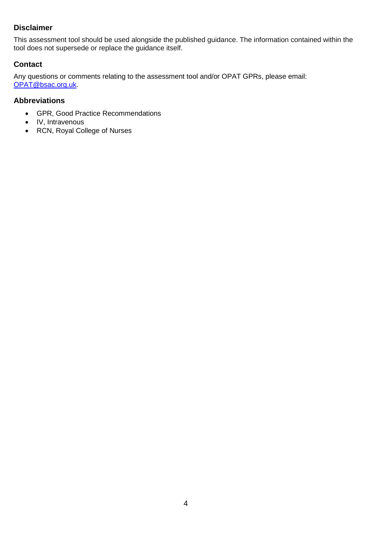#### <span id="page-3-0"></span>**Disclaimer**

This assessment tool should be used alongside the published guidance. The information contained within the tool does not supersede or replace the guidance itself.

#### <span id="page-3-1"></span>**Contact**

Any questions or comments relating to the assessment tool and/or OPAT GPRs, please email: [OPAT@bsac.org.uk.](mailto:OPAT@bsac.org.uk)

#### <span id="page-3-2"></span>**Abbreviations**

- GPR, Good Practice Recommendations
- IV, Intravenous
- RCN, Royal College of Nurses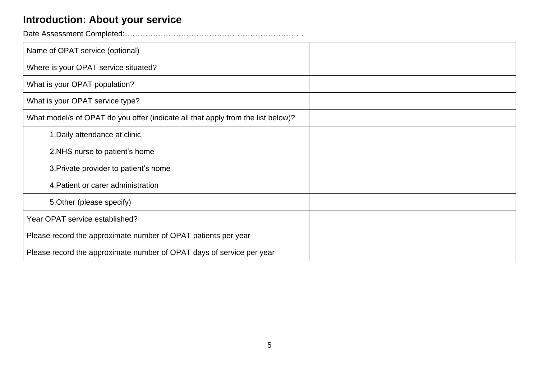## **Introduction: About your service**

Date Assessment Completed:…………………………………………………………….

<span id="page-4-0"></span>

| Name of OPAT service (optional)                                                  |  |
|----------------------------------------------------------------------------------|--|
| Where is your OPAT service situated?                                             |  |
| What is your OPAT population?                                                    |  |
| What is your OPAT service type?                                                  |  |
| What model/s of OPAT do you offer (indicate all that apply from the list below)? |  |
| 1. Daily attendance at clinic                                                    |  |
| 2.NHS nurse to patient's home                                                    |  |
| 3. Private provider to patient's home                                            |  |
| 4. Patient or carer administration                                               |  |
| 5. Other (please specify)                                                        |  |
| Year OPAT service established?                                                   |  |
| Please record the approximate number of OPAT patients per year                   |  |
| Please record the approximate number of OPAT days of service per year            |  |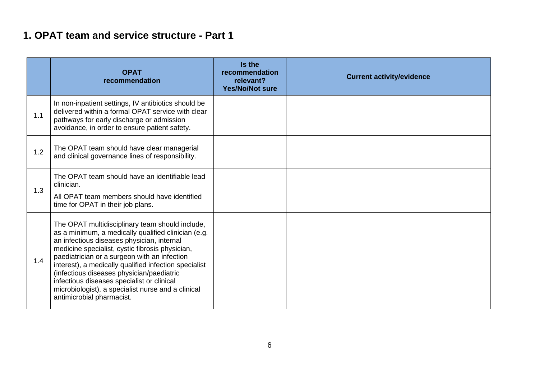### **1. OPAT team and service structure - Part 1**

<span id="page-5-0"></span>

|     | <b>OPAT</b><br>recommendation                                                                                                                                                                                                                                                                                                                                                                                                                                                                  | Is the<br>recommendation<br>relevant?<br><b>Yes/No/Not sure</b> | <b>Current activity/evidence</b> |
|-----|------------------------------------------------------------------------------------------------------------------------------------------------------------------------------------------------------------------------------------------------------------------------------------------------------------------------------------------------------------------------------------------------------------------------------------------------------------------------------------------------|-----------------------------------------------------------------|----------------------------------|
| 1.1 | In non-inpatient settings, IV antibiotics should be<br>delivered within a formal OPAT service with clear<br>pathways for early discharge or admission<br>avoidance, in order to ensure patient safety.                                                                                                                                                                                                                                                                                         |                                                                 |                                  |
| 1.2 | The OPAT team should have clear managerial<br>and clinical governance lines of responsibility.                                                                                                                                                                                                                                                                                                                                                                                                 |                                                                 |                                  |
| 1.3 | The OPAT team should have an identifiable lead<br>clinician.<br>All OPAT team members should have identified<br>time for OPAT in their job plans.                                                                                                                                                                                                                                                                                                                                              |                                                                 |                                  |
| 1.4 | The OPAT multidisciplinary team should include,<br>as a minimum, a medically qualified clinician (e.g.<br>an infectious diseases physician, internal<br>medicine specialist, cystic fibrosis physician,<br>paediatrician or a surgeon with an infection<br>interest), a medically qualified infection specialist<br>(infectious diseases physician/paediatric<br>infectious diseases specialist or clinical<br>microbiologist), a specialist nurse and a clinical<br>antimicrobial pharmacist. |                                                                 |                                  |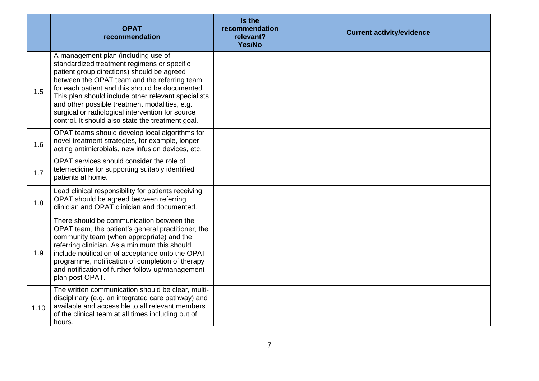|      | <b>OPAT</b><br>recommendation                                                                                                                                                                                                                                                                                                                                                                                                                        | Is the<br>recommendation<br>relevant?<br>Yes/No | <b>Current activity/evidence</b> |
|------|------------------------------------------------------------------------------------------------------------------------------------------------------------------------------------------------------------------------------------------------------------------------------------------------------------------------------------------------------------------------------------------------------------------------------------------------------|-------------------------------------------------|----------------------------------|
| 1.5  | A management plan (including use of<br>standardized treatment regimens or specific<br>patient group directions) should be agreed<br>between the OPAT team and the referring team<br>for each patient and this should be documented.<br>This plan should include other relevant specialists<br>and other possible treatment modalities, e.g.<br>surgical or radiological intervention for source<br>control. It should also state the treatment goal. |                                                 |                                  |
| 1.6  | OPAT teams should develop local algorithms for<br>novel treatment strategies, for example, longer<br>acting antimicrobials, new infusion devices, etc.                                                                                                                                                                                                                                                                                               |                                                 |                                  |
| 1.7  | OPAT services should consider the role of<br>telemedicine for supporting suitably identified<br>patients at home.                                                                                                                                                                                                                                                                                                                                    |                                                 |                                  |
| 1.8  | Lead clinical responsibility for patients receiving<br>OPAT should be agreed between referring<br>clinician and OPAT clinician and documented.                                                                                                                                                                                                                                                                                                       |                                                 |                                  |
| 1.9  | There should be communication between the<br>OPAT team, the patient's general practitioner, the<br>community team (when appropriate) and the<br>referring clinician. As a minimum this should<br>include notification of acceptance onto the OPAT<br>programme, notification of completion of therapy<br>and notification of further follow-up/management<br>plan post OPAT.                                                                         |                                                 |                                  |
| 1.10 | The written communication should be clear, multi-<br>disciplinary (e.g. an integrated care pathway) and<br>available and accessible to all relevant members<br>of the clinical team at all times including out of<br>hours.                                                                                                                                                                                                                          |                                                 |                                  |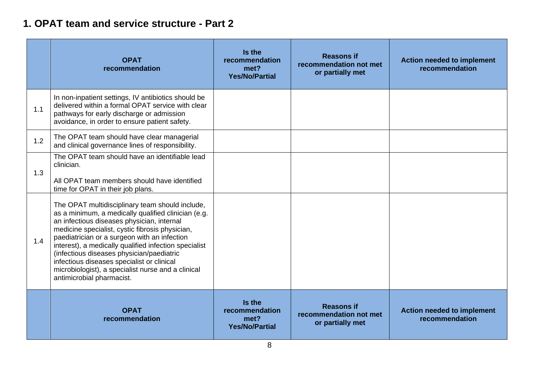### **1. OPAT team and service structure - Part 2**

<span id="page-7-0"></span>

|     | <b>OPAT</b><br>recommendation                                                                                                                                                                                                                                                                                                                                                                                                                                                                  | Is the<br>recommendation<br>met?<br><b>Yes/No/Partial</b> | <b>Reasons if</b><br>recommendation not met<br>or partially met | <b>Action needed to implement</b><br>recommendation |
|-----|------------------------------------------------------------------------------------------------------------------------------------------------------------------------------------------------------------------------------------------------------------------------------------------------------------------------------------------------------------------------------------------------------------------------------------------------------------------------------------------------|-----------------------------------------------------------|-----------------------------------------------------------------|-----------------------------------------------------|
| 1.1 | In non-inpatient settings, IV antibiotics should be<br>delivered within a formal OPAT service with clear<br>pathways for early discharge or admission<br>avoidance, in order to ensure patient safety.                                                                                                                                                                                                                                                                                         |                                                           |                                                                 |                                                     |
| 1.2 | The OPAT team should have clear managerial<br>and clinical governance lines of responsibility.                                                                                                                                                                                                                                                                                                                                                                                                 |                                                           |                                                                 |                                                     |
| 1.3 | The OPAT team should have an identifiable lead<br>clinician.<br>All OPAT team members should have identified<br>time for OPAT in their job plans.                                                                                                                                                                                                                                                                                                                                              |                                                           |                                                                 |                                                     |
| 1.4 | The OPAT multidisciplinary team should include,<br>as a minimum, a medically qualified clinician (e.g.<br>an infectious diseases physician, internal<br>medicine specialist, cystic fibrosis physician,<br>paediatrician or a surgeon with an infection<br>interest), a medically qualified infection specialist<br>(infectious diseases physician/paediatric<br>infectious diseases specialist or clinical<br>microbiologist), a specialist nurse and a clinical<br>antimicrobial pharmacist. |                                                           |                                                                 |                                                     |
|     | <b>OPAT</b><br>recommendation                                                                                                                                                                                                                                                                                                                                                                                                                                                                  | Is the<br>recommendation<br>met?<br><b>Yes/No/Partial</b> | <b>Reasons if</b><br>recommendation not met<br>or partially met | <b>Action needed to implement</b><br>recommendation |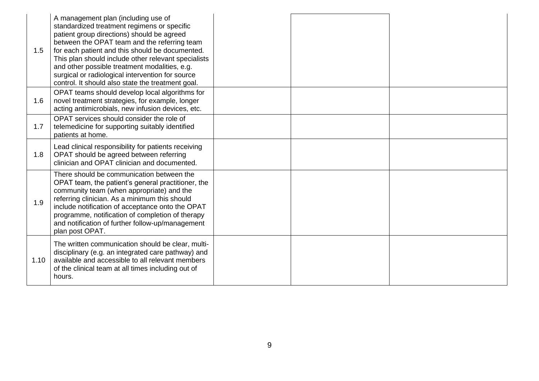| 1.5  | A management plan (including use of<br>standardized treatment regimens or specific<br>patient group directions) should be agreed<br>between the OPAT team and the referring team<br>for each patient and this should be documented.<br>This plan should include other relevant specialists<br>and other possible treatment modalities, e.g.<br>surgical or radiological intervention for source<br>control. It should also state the treatment goal. |  |  |
|------|------------------------------------------------------------------------------------------------------------------------------------------------------------------------------------------------------------------------------------------------------------------------------------------------------------------------------------------------------------------------------------------------------------------------------------------------------|--|--|
| 1.6  | OPAT teams should develop local algorithms for<br>novel treatment strategies, for example, longer<br>acting antimicrobials, new infusion devices, etc.                                                                                                                                                                                                                                                                                               |  |  |
| 1.7  | OPAT services should consider the role of<br>telemedicine for supporting suitably identified<br>patients at home.                                                                                                                                                                                                                                                                                                                                    |  |  |
| 1.8  | Lead clinical responsibility for patients receiving<br>OPAT should be agreed between referring<br>clinician and OPAT clinician and documented.                                                                                                                                                                                                                                                                                                       |  |  |
| 1.9  | There should be communication between the<br>OPAT team, the patient's general practitioner, the<br>community team (when appropriate) and the<br>referring clinician. As a minimum this should<br>include notification of acceptance onto the OPAT<br>programme, notification of completion of therapy<br>and notification of further follow-up/management<br>plan post OPAT.                                                                         |  |  |
| 1.10 | The written communication should be clear, multi-<br>disciplinary (e.g. an integrated care pathway) and<br>available and accessible to all relevant members<br>of the clinical team at all times including out of<br>hours.                                                                                                                                                                                                                          |  |  |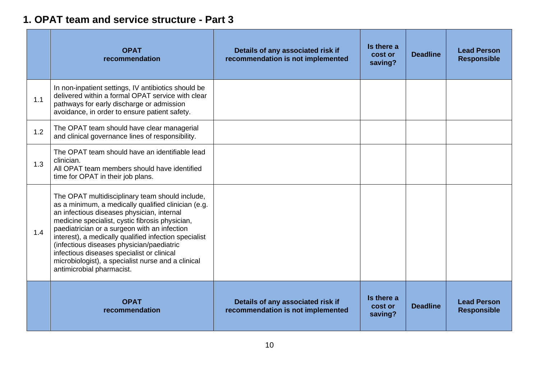### **1. OPAT team and service structure - Part 3**

<span id="page-9-0"></span>

|     | <b>OPAT</b><br>recommendation                                                                                                                                                                                                                                                                                                                                                                                                                                                                  | Details of any associated risk if<br>recommendation is not implemented | Is there a<br>cost or<br>saving? | <b>Deadline</b> | <b>Lead Person</b><br><b>Responsible</b> |
|-----|------------------------------------------------------------------------------------------------------------------------------------------------------------------------------------------------------------------------------------------------------------------------------------------------------------------------------------------------------------------------------------------------------------------------------------------------------------------------------------------------|------------------------------------------------------------------------|----------------------------------|-----------------|------------------------------------------|
| 1.1 | In non-inpatient settings, IV antibiotics should be<br>delivered within a formal OPAT service with clear<br>pathways for early discharge or admission<br>avoidance, in order to ensure patient safety.                                                                                                                                                                                                                                                                                         |                                                                        |                                  |                 |                                          |
| 1.2 | The OPAT team should have clear managerial<br>and clinical governance lines of responsibility.                                                                                                                                                                                                                                                                                                                                                                                                 |                                                                        |                                  |                 |                                          |
| 1.3 | The OPAT team should have an identifiable lead<br>clinician.<br>All OPAT team members should have identified<br>time for OPAT in their job plans.                                                                                                                                                                                                                                                                                                                                              |                                                                        |                                  |                 |                                          |
| 1.4 | The OPAT multidisciplinary team should include,<br>as a minimum, a medically qualified clinician (e.g.<br>an infectious diseases physician, internal<br>medicine specialist, cystic fibrosis physician,<br>paediatrician or a surgeon with an infection<br>interest), a medically qualified infection specialist<br>(infectious diseases physician/paediatric<br>infectious diseases specialist or clinical<br>microbiologist), a specialist nurse and a clinical<br>antimicrobial pharmacist. |                                                                        |                                  |                 |                                          |
|     | <b>OPAT</b><br>recommendation                                                                                                                                                                                                                                                                                                                                                                                                                                                                  | Details of any associated risk if<br>recommendation is not implemented | Is there a<br>cost or<br>saving? | <b>Deadline</b> | <b>Lead Person</b><br><b>Responsible</b> |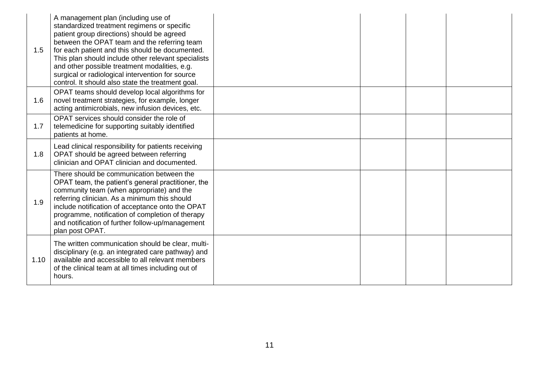| 1.5  | A management plan (including use of<br>standardized treatment regimens or specific<br>patient group directions) should be agreed<br>between the OPAT team and the referring team<br>for each patient and this should be documented.<br>This plan should include other relevant specialists<br>and other possible treatment modalities, e.g.<br>surgical or radiological intervention for source<br>control. It should also state the treatment goal. |  |  |
|------|------------------------------------------------------------------------------------------------------------------------------------------------------------------------------------------------------------------------------------------------------------------------------------------------------------------------------------------------------------------------------------------------------------------------------------------------------|--|--|
| 1.6  | OPAT teams should develop local algorithms for<br>novel treatment strategies, for example, longer<br>acting antimicrobials, new infusion devices, etc.                                                                                                                                                                                                                                                                                               |  |  |
| 1.7  | OPAT services should consider the role of<br>telemedicine for supporting suitably identified<br>patients at home.                                                                                                                                                                                                                                                                                                                                    |  |  |
| 1.8  | Lead clinical responsibility for patients receiving<br>OPAT should be agreed between referring<br>clinician and OPAT clinician and documented.                                                                                                                                                                                                                                                                                                       |  |  |
| 1.9  | There should be communication between the<br>OPAT team, the patient's general practitioner, the<br>community team (when appropriate) and the<br>referring clinician. As a minimum this should<br>include notification of acceptance onto the OPAT<br>programme, notification of completion of therapy<br>and notification of further follow-up/management<br>plan post OPAT.                                                                         |  |  |
| 1.10 | The written communication should be clear, multi-<br>disciplinary (e.g. an integrated care pathway) and<br>available and accessible to all relevant members<br>of the clinical team at all times including out of<br>hours.                                                                                                                                                                                                                          |  |  |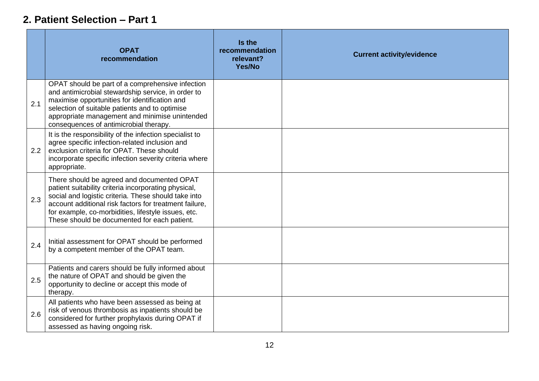### **2. Patient Selection – Part 1**

<span id="page-11-0"></span>

|     | <b>OPAT</b><br>recommendation                                                                                                                                                                                                                                                                                               | Is the<br>recommendation<br>relevant?<br>Yes/No | <b>Current activity/evidence</b> |
|-----|-----------------------------------------------------------------------------------------------------------------------------------------------------------------------------------------------------------------------------------------------------------------------------------------------------------------------------|-------------------------------------------------|----------------------------------|
| 2.1 | OPAT should be part of a comprehensive infection<br>and antimicrobial stewardship service, in order to<br>maximise opportunities for identification and<br>selection of suitable patients and to optimise<br>appropriate management and minimise unintended<br>consequences of antimicrobial therapy.                       |                                                 |                                  |
| 2.2 | It is the responsibility of the infection specialist to<br>agree specific infection-related inclusion and<br>exclusion criteria for OPAT. These should<br>incorporate specific infection severity criteria where<br>appropriate.                                                                                            |                                                 |                                  |
| 2.3 | There should be agreed and documented OPAT<br>patient suitability criteria incorporating physical,<br>social and logistic criteria. These should take into<br>account additional risk factors for treatment failure,<br>for example, co-morbidities, lifestyle issues, etc.<br>These should be documented for each patient. |                                                 |                                  |
| 2.4 | Initial assessment for OPAT should be performed<br>by a competent member of the OPAT team.                                                                                                                                                                                                                                  |                                                 |                                  |
| 2.5 | Patients and carers should be fully informed about<br>the nature of OPAT and should be given the<br>opportunity to decline or accept this mode of<br>therapy.                                                                                                                                                               |                                                 |                                  |
| 2.6 | All patients who have been assessed as being at<br>risk of venous thrombosis as inpatients should be<br>considered for further prophylaxis during OPAT if<br>assessed as having ongoing risk.                                                                                                                               |                                                 |                                  |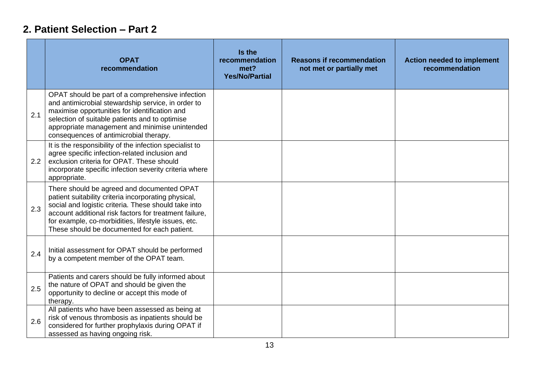## **2. Patient Selection – Part 2**

<span id="page-12-0"></span>

|     | <b>OPAT</b><br>recommendation                                                                                                                                                                                                                                                                                               | Is the<br>recommendation<br>met?<br><b>Yes/No/Partial</b> | <b>Reasons if recommendation</b><br>not met or partially met | <b>Action needed to implement</b><br>recommendation |
|-----|-----------------------------------------------------------------------------------------------------------------------------------------------------------------------------------------------------------------------------------------------------------------------------------------------------------------------------|-----------------------------------------------------------|--------------------------------------------------------------|-----------------------------------------------------|
| 2.1 | OPAT should be part of a comprehensive infection<br>and antimicrobial stewardship service, in order to<br>maximise opportunities for identification and<br>selection of suitable patients and to optimise<br>appropriate management and minimise unintended<br>consequences of antimicrobial therapy.                       |                                                           |                                                              |                                                     |
| 2.2 | It is the responsibility of the infection specialist to<br>agree specific infection-related inclusion and<br>exclusion criteria for OPAT. These should<br>incorporate specific infection severity criteria where<br>appropriate.                                                                                            |                                                           |                                                              |                                                     |
| 2.3 | There should be agreed and documented OPAT<br>patient suitability criteria incorporating physical,<br>social and logistic criteria. These should take into<br>account additional risk factors for treatment failure,<br>for example, co-morbidities, lifestyle issues, etc.<br>These should be documented for each patient. |                                                           |                                                              |                                                     |
| 2.4 | Initial assessment for OPAT should be performed<br>by a competent member of the OPAT team.                                                                                                                                                                                                                                  |                                                           |                                                              |                                                     |
| 2.5 | Patients and carers should be fully informed about<br>the nature of OPAT and should be given the<br>opportunity to decline or accept this mode of<br>therapy.                                                                                                                                                               |                                                           |                                                              |                                                     |
| 2.6 | All patients who have been assessed as being at<br>risk of venous thrombosis as inpatients should be<br>considered for further prophylaxis during OPAT if<br>assessed as having ongoing risk.                                                                                                                               |                                                           |                                                              |                                                     |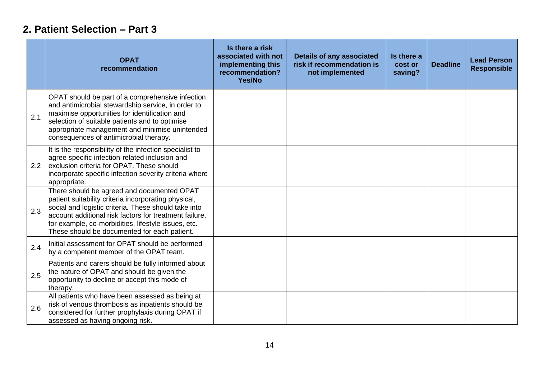## **2. Patient Selection – Part 3**

<span id="page-13-0"></span>

|     | <b>OPAT</b><br>recommendation                                                                                                                                                                                                                                                                                               | Is there a risk<br>associated with not<br>implementing this<br>recommendation?<br>Yes/No | <b>Details of any associated</b><br>risk if recommendation is<br>not implemented | Is there a<br>cost or<br>saving? | <b>Deadline</b> | <b>Lead Person</b><br><b>Responsible</b> |
|-----|-----------------------------------------------------------------------------------------------------------------------------------------------------------------------------------------------------------------------------------------------------------------------------------------------------------------------------|------------------------------------------------------------------------------------------|----------------------------------------------------------------------------------|----------------------------------|-----------------|------------------------------------------|
| 2.1 | OPAT should be part of a comprehensive infection<br>and antimicrobial stewardship service, in order to<br>maximise opportunities for identification and<br>selection of suitable patients and to optimise<br>appropriate management and minimise unintended<br>consequences of antimicrobial therapy.                       |                                                                                          |                                                                                  |                                  |                 |                                          |
| 2.2 | It is the responsibility of the infection specialist to<br>agree specific infection-related inclusion and<br>exclusion criteria for OPAT. These should<br>incorporate specific infection severity criteria where<br>appropriate.                                                                                            |                                                                                          |                                                                                  |                                  |                 |                                          |
| 2.3 | There should be agreed and documented OPAT<br>patient suitability criteria incorporating physical,<br>social and logistic criteria. These should take into<br>account additional risk factors for treatment failure.<br>for example, co-morbidities, lifestyle issues, etc.<br>These should be documented for each patient. |                                                                                          |                                                                                  |                                  |                 |                                          |
| 2.4 | Initial assessment for OPAT should be performed<br>by a competent member of the OPAT team.                                                                                                                                                                                                                                  |                                                                                          |                                                                                  |                                  |                 |                                          |
| 2.5 | Patients and carers should be fully informed about<br>the nature of OPAT and should be given the<br>opportunity to decline or accept this mode of<br>therapy.                                                                                                                                                               |                                                                                          |                                                                                  |                                  |                 |                                          |
| 2.6 | All patients who have been assessed as being at<br>risk of venous thrombosis as inpatients should be<br>considered for further prophylaxis during OPAT if<br>assessed as having ongoing risk.                                                                                                                               |                                                                                          |                                                                                  |                                  |                 |                                          |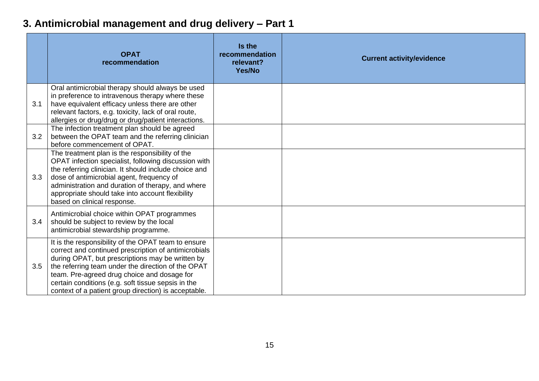# **3. Antimicrobial management and drug delivery – Part 1**

<span id="page-14-0"></span>

|     | <b>OPAT</b><br>recommendation                                                                                                                                                                                                                                                                                                                                                      | Is the<br>recommendation<br>relevant?<br>Yes/No | <b>Current activity/evidence</b> |
|-----|------------------------------------------------------------------------------------------------------------------------------------------------------------------------------------------------------------------------------------------------------------------------------------------------------------------------------------------------------------------------------------|-------------------------------------------------|----------------------------------|
| 3.1 | Oral antimicrobial therapy should always be used<br>in preference to intravenous therapy where these<br>have equivalent efficacy unless there are other<br>relevant factors, e.g. toxicity, lack of oral route,<br>allergies or drug/drug or drug/patient interactions.                                                                                                            |                                                 |                                  |
| 3.2 | The infection treatment plan should be agreed<br>between the OPAT team and the referring clinician<br>before commencement of OPAT.                                                                                                                                                                                                                                                 |                                                 |                                  |
| 3.3 | The treatment plan is the responsibility of the<br>OPAT infection specialist, following discussion with<br>the referring clinician. It should include choice and<br>dose of antimicrobial agent, frequency of<br>administration and duration of therapy, and where<br>appropriate should take into account flexibility<br>based on clinical response.                              |                                                 |                                  |
| 3.4 | Antimicrobial choice within OPAT programmes<br>should be subject to review by the local<br>antimicrobial stewardship programme.                                                                                                                                                                                                                                                    |                                                 |                                  |
| 3.5 | It is the responsibility of the OPAT team to ensure<br>correct and continued prescription of antimicrobials<br>during OPAT, but prescriptions may be written by<br>the referring team under the direction of the OPAT<br>team. Pre-agreed drug choice and dosage for<br>certain conditions (e.g. soft tissue sepsis in the<br>context of a patient group direction) is acceptable. |                                                 |                                  |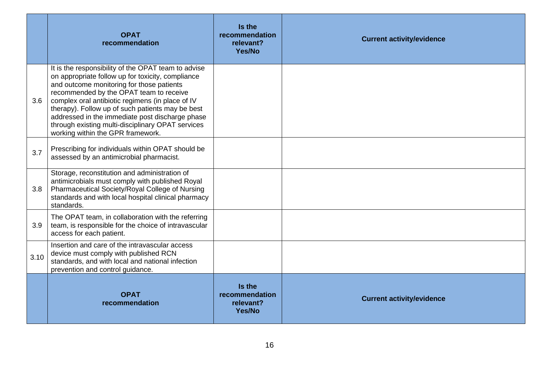|      | <b>OPAT</b><br>recommendation                                                                                                                                                                                                                                                                                                                                                                                                                         | Is the<br>recommendation<br>relevant?<br>Yes/No | <b>Current activity/evidence</b> |
|------|-------------------------------------------------------------------------------------------------------------------------------------------------------------------------------------------------------------------------------------------------------------------------------------------------------------------------------------------------------------------------------------------------------------------------------------------------------|-------------------------------------------------|----------------------------------|
| 3.6  | It is the responsibility of the OPAT team to advise<br>on appropriate follow up for toxicity, compliance<br>and outcome monitoring for those patients<br>recommended by the OPAT team to receive<br>complex oral antibiotic regimens (in place of IV<br>therapy). Follow up of such patients may be best<br>addressed in the immediate post discharge phase<br>through existing multi-disciplinary OPAT services<br>working within the GPR framework. |                                                 |                                  |
| 3.7  | Prescribing for individuals within OPAT should be<br>assessed by an antimicrobial pharmacist.                                                                                                                                                                                                                                                                                                                                                         |                                                 |                                  |
| 3.8  | Storage, reconstitution and administration of<br>antimicrobials must comply with published Royal<br>Pharmaceutical Society/Royal College of Nursing<br>standards and with local hospital clinical pharmacy<br>standards.                                                                                                                                                                                                                              |                                                 |                                  |
| 3.9  | The OPAT team, in collaboration with the referring<br>team, is responsible for the choice of intravascular<br>access for each patient.                                                                                                                                                                                                                                                                                                                |                                                 |                                  |
| 3.10 | Insertion and care of the intravascular access<br>device must comply with published RCN<br>standards, and with local and national infection<br>prevention and control guidance.                                                                                                                                                                                                                                                                       |                                                 |                                  |
|      | <b>OPAT</b><br>recommendation                                                                                                                                                                                                                                                                                                                                                                                                                         | Is the<br>recommendation<br>relevant?<br>Yes/No | <b>Current activity/evidence</b> |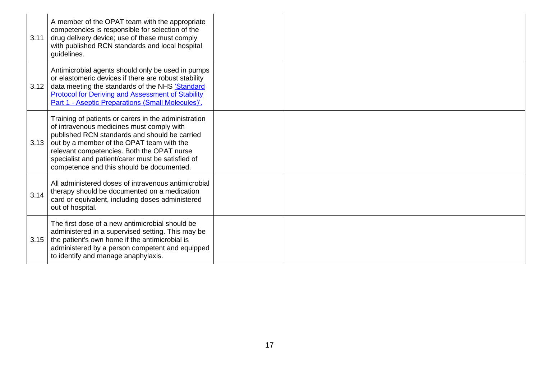| 3.11 | A member of the OPAT team with the appropriate<br>competencies is responsible for selection of the<br>drug delivery device; use of these must comply<br>with published RCN standards and local hospital<br>guidelines.                                                                                                                          |  |
|------|-------------------------------------------------------------------------------------------------------------------------------------------------------------------------------------------------------------------------------------------------------------------------------------------------------------------------------------------------|--|
| 3.12 | Antimicrobial agents should only be used in pumps<br>or elastomeric devices if there are robust stability<br>data meeting the standards of the NHS 'Standard<br><b>Protocol for Deriving and Assessment of Stability</b><br>Part 1 - Aseptic Preparations (Small Molecules)'.                                                                   |  |
| 3.13 | Training of patients or carers in the administration<br>of intravenous medicines must comply with<br>published RCN standards and should be carried<br>out by a member of the OPAT team with the<br>relevant competencies. Both the OPAT nurse<br>specialist and patient/carer must be satisfied of<br>competence and this should be documented. |  |
| 3.14 | All administered doses of intravenous antimicrobial<br>therapy should be documented on a medication<br>card or equivalent, including doses administered<br>out of hospital.                                                                                                                                                                     |  |
| 3.15 | The first dose of a new antimicrobial should be<br>administered in a supervised setting. This may be<br>the patient's own home if the antimicrobial is<br>administered by a person competent and equipped<br>to identify and manage anaphylaxis.                                                                                                |  |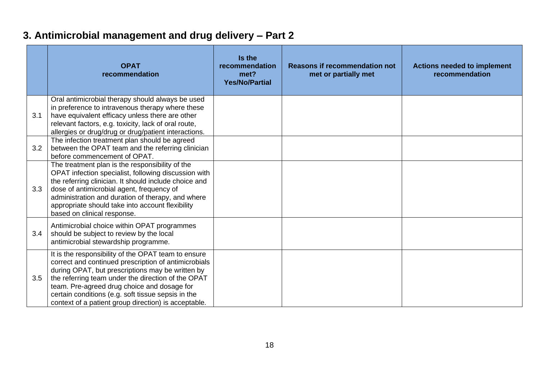# **3. Antimicrobial management and drug delivery – Part 2**

<span id="page-17-0"></span>

|     | <b>OPAT</b><br>recommendation                                                                                                                                                                                                                                                                                                                                                      | Is the<br>recommendation<br>met?<br><b>Yes/No/Partial</b> | <b>Reasons if recommendation not</b><br>met or partially met | <b>Actions needed to implement</b><br>recommendation |
|-----|------------------------------------------------------------------------------------------------------------------------------------------------------------------------------------------------------------------------------------------------------------------------------------------------------------------------------------------------------------------------------------|-----------------------------------------------------------|--------------------------------------------------------------|------------------------------------------------------|
| 3.1 | Oral antimicrobial therapy should always be used<br>in preference to intravenous therapy where these<br>have equivalent efficacy unless there are other<br>relevant factors, e.g. toxicity, lack of oral route,<br>allergies or drug/drug or drug/patient interactions.                                                                                                            |                                                           |                                                              |                                                      |
| 3.2 | The infection treatment plan should be agreed<br>between the OPAT team and the referring clinician<br>before commencement of OPAT.                                                                                                                                                                                                                                                 |                                                           |                                                              |                                                      |
| 3.3 | The treatment plan is the responsibility of the<br>OPAT infection specialist, following discussion with<br>the referring clinician. It should include choice and<br>dose of antimicrobial agent, frequency of<br>administration and duration of therapy, and where<br>appropriate should take into account flexibility<br>based on clinical response.                              |                                                           |                                                              |                                                      |
| 3.4 | Antimicrobial choice within OPAT programmes<br>should be subject to review by the local<br>antimicrobial stewardship programme.                                                                                                                                                                                                                                                    |                                                           |                                                              |                                                      |
| 3.5 | It is the responsibility of the OPAT team to ensure<br>correct and continued prescription of antimicrobials<br>during OPAT, but prescriptions may be written by<br>the referring team under the direction of the OPAT<br>team. Pre-agreed drug choice and dosage for<br>certain conditions (e.g. soft tissue sepsis in the<br>context of a patient group direction) is acceptable. |                                                           |                                                              |                                                      |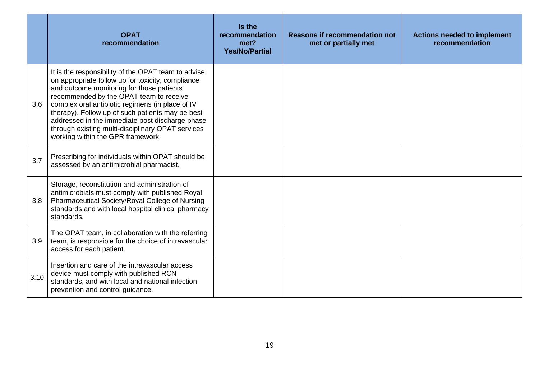|      | <b>OPAT</b><br>recommendation                                                                                                                                                                                                                                                                                                                                                                                                                         | Is the<br>recommendation<br>met?<br><b>Yes/No/Partial</b> | <b>Reasons if recommendation not</b><br>met or partially met | <b>Actions needed to implement</b><br>recommendation |
|------|-------------------------------------------------------------------------------------------------------------------------------------------------------------------------------------------------------------------------------------------------------------------------------------------------------------------------------------------------------------------------------------------------------------------------------------------------------|-----------------------------------------------------------|--------------------------------------------------------------|------------------------------------------------------|
| 3.6  | It is the responsibility of the OPAT team to advise<br>on appropriate follow up for toxicity, compliance<br>and outcome monitoring for those patients<br>recommended by the OPAT team to receive<br>complex oral antibiotic regimens (in place of IV<br>therapy). Follow up of such patients may be best<br>addressed in the immediate post discharge phase<br>through existing multi-disciplinary OPAT services<br>working within the GPR framework. |                                                           |                                                              |                                                      |
| 3.7  | Prescribing for individuals within OPAT should be<br>assessed by an antimicrobial pharmacist.                                                                                                                                                                                                                                                                                                                                                         |                                                           |                                                              |                                                      |
| 3.8  | Storage, reconstitution and administration of<br>antimicrobials must comply with published Royal<br>Pharmaceutical Society/Royal College of Nursing<br>standards and with local hospital clinical pharmacy<br>standards.                                                                                                                                                                                                                              |                                                           |                                                              |                                                      |
| 3.9  | The OPAT team, in collaboration with the referring<br>team, is responsible for the choice of intravascular<br>access for each patient.                                                                                                                                                                                                                                                                                                                |                                                           |                                                              |                                                      |
| 3.10 | Insertion and care of the intravascular access<br>device must comply with published RCN<br>standards, and with local and national infection<br>prevention and control guidance.                                                                                                                                                                                                                                                                       |                                                           |                                                              |                                                      |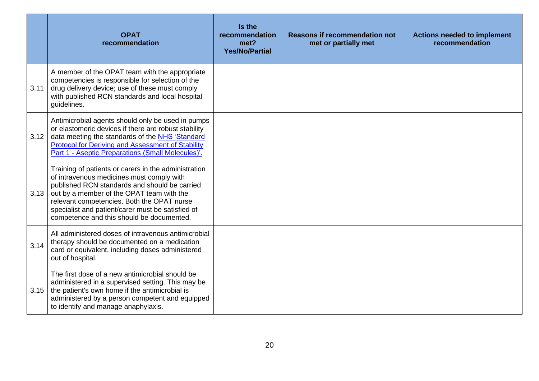|      | <b>OPAT</b><br>recommendation                                                                                                                                                                                                                                                                                                                   | Is the<br>recommendation<br>met?<br><b>Yes/No/Partial</b> | <b>Reasons if recommendation not</b><br>met or partially met | <b>Actions needed to implement</b><br>recommendation |
|------|-------------------------------------------------------------------------------------------------------------------------------------------------------------------------------------------------------------------------------------------------------------------------------------------------------------------------------------------------|-----------------------------------------------------------|--------------------------------------------------------------|------------------------------------------------------|
| 3.11 | A member of the OPAT team with the appropriate<br>competencies is responsible for selection of the<br>drug delivery device; use of these must comply<br>with published RCN standards and local hospital<br>guidelines.                                                                                                                          |                                                           |                                                              |                                                      |
| 3.12 | Antimicrobial agents should only be used in pumps<br>or elastomeric devices if there are robust stability<br>data meeting the standards of the NHS 'Standard<br><b>Protocol for Deriving and Assessment of Stability</b><br>Part 1 - Aseptic Preparations (Small Molecules)'.                                                                   |                                                           |                                                              |                                                      |
| 3.13 | Training of patients or carers in the administration<br>of intravenous medicines must comply with<br>published RCN standards and should be carried<br>out by a member of the OPAT team with the<br>relevant competencies. Both the OPAT nurse<br>specialist and patient/carer must be satisfied of<br>competence and this should be documented. |                                                           |                                                              |                                                      |
| 3.14 | All administered doses of intravenous antimicrobial<br>therapy should be documented on a medication<br>card or equivalent, including doses administered<br>out of hospital.                                                                                                                                                                     |                                                           |                                                              |                                                      |
| 3.15 | The first dose of a new antimicrobial should be<br>administered in a supervised setting. This may be<br>the patient's own home if the antimicrobial is<br>administered by a person competent and equipped<br>to identify and manage anaphylaxis.                                                                                                |                                                           |                                                              |                                                      |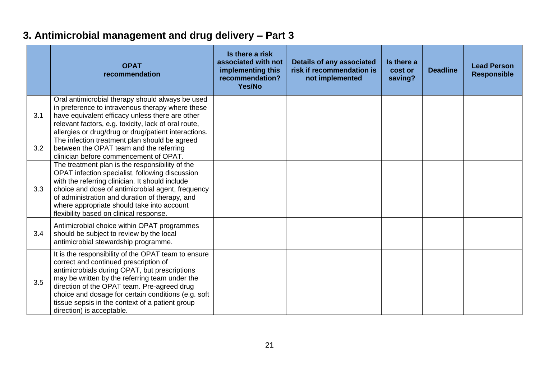## **3. Antimicrobial management and drug delivery – Part 3**

<span id="page-20-0"></span>

|     | <b>OPAT</b><br>recommendation                                                                                                                                                                                                                                                                                                                                                         | Is there a risk<br>associated with not<br>implementing this<br>recommendation?<br>Yes/No | <b>Details of any associated</b><br>risk if recommendation is<br>not implemented | Is there a<br>cost or<br>saving? | <b>Deadline</b> | <b>Lead Person</b><br><b>Responsible</b> |
|-----|---------------------------------------------------------------------------------------------------------------------------------------------------------------------------------------------------------------------------------------------------------------------------------------------------------------------------------------------------------------------------------------|------------------------------------------------------------------------------------------|----------------------------------------------------------------------------------|----------------------------------|-----------------|------------------------------------------|
| 3.1 | Oral antimicrobial therapy should always be used<br>in preference to intravenous therapy where these<br>have equivalent efficacy unless there are other<br>relevant factors, e.g. toxicity, lack of oral route,<br>allergies or drug/drug or drug/patient interactions.                                                                                                               |                                                                                          |                                                                                  |                                  |                 |                                          |
| 3.2 | The infection treatment plan should be agreed<br>between the OPAT team and the referring<br>clinician before commencement of OPAT.                                                                                                                                                                                                                                                    |                                                                                          |                                                                                  |                                  |                 |                                          |
| 3.3 | The treatment plan is the responsibility of the<br>OPAT infection specialist, following discussion<br>with the referring clinician. It should include<br>choice and dose of antimicrobial agent, frequency<br>of administration and duration of therapy, and<br>where appropriate should take into account<br>flexibility based on clinical response.                                 |                                                                                          |                                                                                  |                                  |                 |                                          |
| 3.4 | Antimicrobial choice within OPAT programmes<br>should be subject to review by the local<br>antimicrobial stewardship programme.                                                                                                                                                                                                                                                       |                                                                                          |                                                                                  |                                  |                 |                                          |
| 3.5 | It is the responsibility of the OPAT team to ensure<br>correct and continued prescription of<br>antimicrobials during OPAT, but prescriptions<br>may be written by the referring team under the<br>direction of the OPAT team. Pre-agreed drug<br>choice and dosage for certain conditions (e.g. soft<br>tissue sepsis in the context of a patient group<br>direction) is acceptable. |                                                                                          |                                                                                  |                                  |                 |                                          |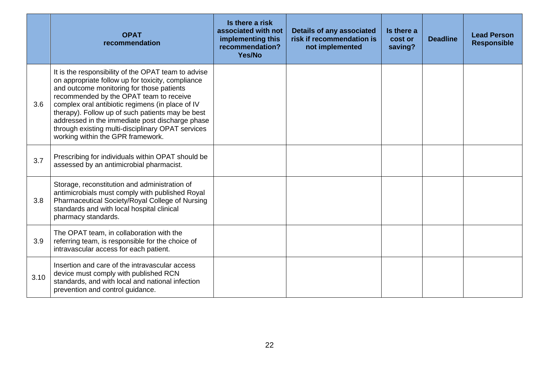|      | <b>OPAT</b><br>recommendation                                                                                                                                                                                                                                                                                                                                                                                                                         | Is there a risk<br>associated with not<br>implementing this<br>recommendation?<br>Yes/No | <b>Details of any associated</b><br>risk if recommendation is<br>not implemented | Is there a<br>cost or<br>saving? | <b>Deadline</b> | <b>Lead Person</b><br><b>Responsible</b> |
|------|-------------------------------------------------------------------------------------------------------------------------------------------------------------------------------------------------------------------------------------------------------------------------------------------------------------------------------------------------------------------------------------------------------------------------------------------------------|------------------------------------------------------------------------------------------|----------------------------------------------------------------------------------|----------------------------------|-----------------|------------------------------------------|
| 3.6  | It is the responsibility of the OPAT team to advise<br>on appropriate follow up for toxicity, compliance<br>and outcome monitoring for those patients<br>recommended by the OPAT team to receive<br>complex oral antibiotic regimens (in place of IV<br>therapy). Follow up of such patients may be best<br>addressed in the immediate post discharge phase<br>through existing multi-disciplinary OPAT services<br>working within the GPR framework. |                                                                                          |                                                                                  |                                  |                 |                                          |
| 3.7  | Prescribing for individuals within OPAT should be<br>assessed by an antimicrobial pharmacist.                                                                                                                                                                                                                                                                                                                                                         |                                                                                          |                                                                                  |                                  |                 |                                          |
| 3.8  | Storage, reconstitution and administration of<br>antimicrobials must comply with published Royal<br>Pharmaceutical Society/Royal College of Nursing<br>standards and with local hospital clinical<br>pharmacy standards.                                                                                                                                                                                                                              |                                                                                          |                                                                                  |                                  |                 |                                          |
| 3.9  | The OPAT team, in collaboration with the<br>referring team, is responsible for the choice of<br>intravascular access for each patient.                                                                                                                                                                                                                                                                                                                |                                                                                          |                                                                                  |                                  |                 |                                          |
| 3.10 | Insertion and care of the intravascular access<br>device must comply with published RCN<br>standards, and with local and national infection<br>prevention and control guidance.                                                                                                                                                                                                                                                                       |                                                                                          |                                                                                  |                                  |                 |                                          |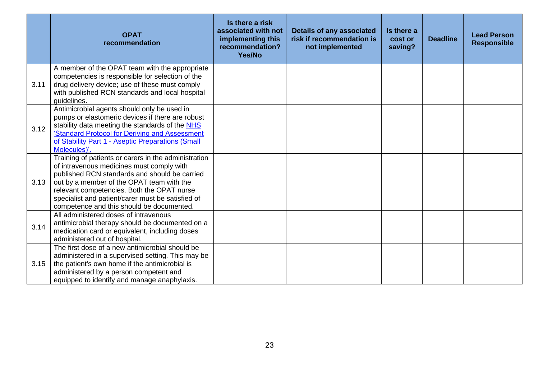|      | <b>OPAT</b><br>recommendation                                                                                                                                                                                                                                                                                                                   | Is there a risk<br>associated with not<br>implementing this<br>recommendation?<br>Yes/No | <b>Details of any associated</b><br>risk if recommendation is<br>not implemented | Is there a<br>cost or<br>saving? | <b>Deadline</b> | <b>Lead Person</b><br><b>Responsible</b> |
|------|-------------------------------------------------------------------------------------------------------------------------------------------------------------------------------------------------------------------------------------------------------------------------------------------------------------------------------------------------|------------------------------------------------------------------------------------------|----------------------------------------------------------------------------------|----------------------------------|-----------------|------------------------------------------|
| 3.11 | A member of the OPAT team with the appropriate<br>competencies is responsible for selection of the<br>drug delivery device; use of these must comply<br>with published RCN standards and local hospital<br>quidelines.                                                                                                                          |                                                                                          |                                                                                  |                                  |                 |                                          |
| 3.12 | Antimicrobial agents should only be used in<br>pumps or elastomeric devices if there are robust<br>stability data meeting the standards of the NHS<br>'Standard Protocol for Deriving and Assessment<br>of Stability Part 1 - Aseptic Preparations (Small<br>Molecules)'.                                                                       |                                                                                          |                                                                                  |                                  |                 |                                          |
| 3.13 | Training of patients or carers in the administration<br>of intravenous medicines must comply with<br>published RCN standards and should be carried<br>out by a member of the OPAT team with the<br>relevant competencies. Both the OPAT nurse<br>specialist and patient/carer must be satisfied of<br>competence and this should be documented. |                                                                                          |                                                                                  |                                  |                 |                                          |
| 3.14 | All administered doses of intravenous<br>antimicrobial therapy should be documented on a<br>medication card or equivalent, including doses<br>administered out of hospital.                                                                                                                                                                     |                                                                                          |                                                                                  |                                  |                 |                                          |
| 3.15 | The first dose of a new antimicrobial should be<br>administered in a supervised setting. This may be<br>the patient's own home if the antimicrobial is<br>administered by a person competent and<br>equipped to identify and manage anaphylaxis.                                                                                                |                                                                                          |                                                                                  |                                  |                 |                                          |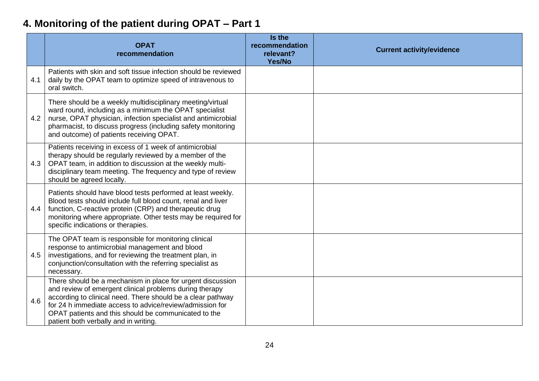# **4. Monitoring of the patient during OPAT – Part 1**

<span id="page-23-0"></span>

|     | <b>OPAT</b><br>recommendation                                                                                                                                                                                                                                                                                                                     | Is the<br>recommendation<br>relevant?<br>Yes/No | <b>Current activity/evidence</b> |
|-----|---------------------------------------------------------------------------------------------------------------------------------------------------------------------------------------------------------------------------------------------------------------------------------------------------------------------------------------------------|-------------------------------------------------|----------------------------------|
| 4.1 | Patients with skin and soft tissue infection should be reviewed<br>daily by the OPAT team to optimize speed of intravenous to<br>oral switch.                                                                                                                                                                                                     |                                                 |                                  |
| 4.2 | There should be a weekly multidisciplinary meeting/virtual<br>ward round, including as a minimum the OPAT specialist<br>nurse, OPAT physician, infection specialist and antimicrobial<br>pharmacist, to discuss progress (including safety monitoring<br>and outcome) of patients receiving OPAT.                                                 |                                                 |                                  |
| 4.3 | Patients receiving in excess of 1 week of antimicrobial<br>therapy should be regularly reviewed by a member of the<br>OPAT team, in addition to discussion at the weekly multi-<br>disciplinary team meeting. The frequency and type of review<br>should be agreed locally.                                                                       |                                                 |                                  |
| 4.4 | Patients should have blood tests performed at least weekly.<br>Blood tests should include full blood count, renal and liver<br>function, C-reactive protein (CRP) and therapeutic drug<br>monitoring where appropriate. Other tests may be required for<br>specific indications or therapies.                                                     |                                                 |                                  |
| 4.5 | The OPAT team is responsible for monitoring clinical<br>response to antimicrobial management and blood<br>investigations, and for reviewing the treatment plan, in<br>conjunction/consultation with the referring specialist as<br>necessary.                                                                                                     |                                                 |                                  |
| 4.6 | There should be a mechanism in place for urgent discussion<br>and review of emergent clinical problems during therapy<br>according to clinical need. There should be a clear pathway<br>for 24 h immediate access to advice/review/admission for<br>OPAT patients and this should be communicated to the<br>patient both verbally and in writing. |                                                 |                                  |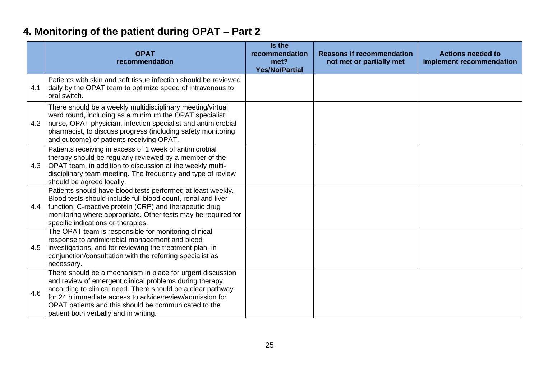# **4. Monitoring of the patient during OPAT – Part 2**

<span id="page-24-0"></span>

|     | <b>OPAT</b><br>recommendation                                                                                                                                                                                                                                                                                                                     | Is the<br>recommendation<br>met?<br><b>Yes/No/Partial</b> | <b>Reasons if recommendation</b><br>not met or partially met | <b>Actions needed to</b><br>implement recommendation |
|-----|---------------------------------------------------------------------------------------------------------------------------------------------------------------------------------------------------------------------------------------------------------------------------------------------------------------------------------------------------|-----------------------------------------------------------|--------------------------------------------------------------|------------------------------------------------------|
| 4.1 | Patients with skin and soft tissue infection should be reviewed<br>daily by the OPAT team to optimize speed of intravenous to<br>oral switch.                                                                                                                                                                                                     |                                                           |                                                              |                                                      |
| 4.2 | There should be a weekly multidisciplinary meeting/virtual<br>ward round, including as a minimum the OPAT specialist<br>nurse, OPAT physician, infection specialist and antimicrobial<br>pharmacist, to discuss progress (including safety monitoring<br>and outcome) of patients receiving OPAT.                                                 |                                                           |                                                              |                                                      |
| 4.3 | Patients receiving in excess of 1 week of antimicrobial<br>therapy should be regularly reviewed by a member of the<br>OPAT team, in addition to discussion at the weekly multi-<br>disciplinary team meeting. The frequency and type of review<br>should be agreed locally.                                                                       |                                                           |                                                              |                                                      |
| 4.4 | Patients should have blood tests performed at least weekly.<br>Blood tests should include full blood count, renal and liver<br>function, C-reactive protein (CRP) and therapeutic drug<br>monitoring where appropriate. Other tests may be required for<br>specific indications or therapies.                                                     |                                                           |                                                              |                                                      |
| 4.5 | The OPAT team is responsible for monitoring clinical<br>response to antimicrobial management and blood<br>investigations, and for reviewing the treatment plan, in<br>conjunction/consultation with the referring specialist as<br>necessary.                                                                                                     |                                                           |                                                              |                                                      |
| 4.6 | There should be a mechanism in place for urgent discussion<br>and review of emergent clinical problems during therapy<br>according to clinical need. There should be a clear pathway<br>for 24 h immediate access to advice/review/admission for<br>OPAT patients and this should be communicated to the<br>patient both verbally and in writing. |                                                           |                                                              |                                                      |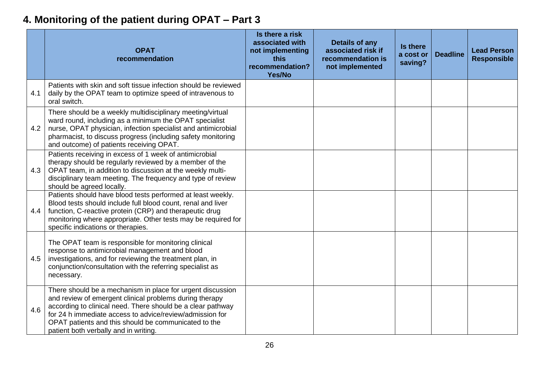# **4. Monitoring of the patient during OPAT – Part 3**

<span id="page-25-0"></span>

|     | <b>OPAT</b><br>recommendation                                                                                                                                                                                                                                                                                                                     | Is there a risk<br>associated with<br>not implementing<br>this<br>recommendation?<br>Yes/No | <b>Details of any</b><br>associated risk if<br>recommendation is<br>not implemented | Is there<br>a cost or<br>saving? | <b>Deadline</b> | <b>Lead Person</b><br><b>Responsible</b> |
|-----|---------------------------------------------------------------------------------------------------------------------------------------------------------------------------------------------------------------------------------------------------------------------------------------------------------------------------------------------------|---------------------------------------------------------------------------------------------|-------------------------------------------------------------------------------------|----------------------------------|-----------------|------------------------------------------|
| 4.1 | Patients with skin and soft tissue infection should be reviewed<br>daily by the OPAT team to optimize speed of intravenous to<br>oral switch.                                                                                                                                                                                                     |                                                                                             |                                                                                     |                                  |                 |                                          |
| 4.2 | There should be a weekly multidisciplinary meeting/virtual<br>ward round, including as a minimum the OPAT specialist<br>nurse, OPAT physician, infection specialist and antimicrobial<br>pharmacist, to discuss progress (including safety monitoring<br>and outcome) of patients receiving OPAT.                                                 |                                                                                             |                                                                                     |                                  |                 |                                          |
| 4.3 | Patients receiving in excess of 1 week of antimicrobial<br>therapy should be regularly reviewed by a member of the<br>OPAT team, in addition to discussion at the weekly multi-<br>disciplinary team meeting. The frequency and type of review<br>should be agreed locally.                                                                       |                                                                                             |                                                                                     |                                  |                 |                                          |
| 4.4 | Patients should have blood tests performed at least weekly.<br>Blood tests should include full blood count, renal and liver<br>function, C-reactive protein (CRP) and therapeutic drug<br>monitoring where appropriate. Other tests may be required for<br>specific indications or therapies.                                                     |                                                                                             |                                                                                     |                                  |                 |                                          |
| 4.5 | The OPAT team is responsible for monitoring clinical<br>response to antimicrobial management and blood<br>investigations, and for reviewing the treatment plan, in<br>conjunction/consultation with the referring specialist as<br>necessary.                                                                                                     |                                                                                             |                                                                                     |                                  |                 |                                          |
| 4.6 | There should be a mechanism in place for urgent discussion<br>and review of emergent clinical problems during therapy<br>according to clinical need. There should be a clear pathway<br>for 24 h immediate access to advice/review/admission for<br>OPAT patients and this should be communicated to the<br>patient both verbally and in writing. |                                                                                             |                                                                                     |                                  |                 |                                          |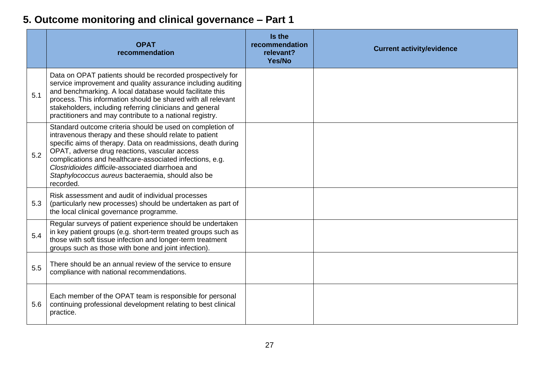# **5. Outcome monitoring and clinical governance – Part 1**

<span id="page-26-0"></span>

|     | <b>OPAT</b><br>recommendation                                                                                                                                                                                                                                                                                                                                                                                           | Is the<br>recommendation<br>relevant?<br>Yes/No | <b>Current activity/evidence</b> |
|-----|-------------------------------------------------------------------------------------------------------------------------------------------------------------------------------------------------------------------------------------------------------------------------------------------------------------------------------------------------------------------------------------------------------------------------|-------------------------------------------------|----------------------------------|
| 5.1 | Data on OPAT patients should be recorded prospectively for<br>service improvement and quality assurance including auditing<br>and benchmarking. A local database would facilitate this<br>process. This information should be shared with all relevant<br>stakeholders, including referring clinicians and general<br>practitioners and may contribute to a national registry.                                          |                                                 |                                  |
| 5.2 | Standard outcome criteria should be used on completion of<br>intravenous therapy and these should relate to patient<br>specific aims of therapy. Data on readmissions, death during<br>OPAT, adverse drug reactions, vascular access<br>complications and healthcare-associated infections, e.g.<br>Clostridioides difficile-associated diarrhoea and<br>Staphylococcus aureus bacteraemia, should also be<br>recorded. |                                                 |                                  |
| 5.3 | Risk assessment and audit of individual processes<br>(particularly new processes) should be undertaken as part of<br>the local clinical governance programme.                                                                                                                                                                                                                                                           |                                                 |                                  |
| 5.4 | Regular surveys of patient experience should be undertaken<br>in key patient groups (e.g. short-term treated groups such as<br>those with soft tissue infection and longer-term treatment<br>groups such as those with bone and joint infection).                                                                                                                                                                       |                                                 |                                  |
| 5.5 | There should be an annual review of the service to ensure<br>compliance with national recommendations.                                                                                                                                                                                                                                                                                                                  |                                                 |                                  |
| 5.6 | Each member of the OPAT team is responsible for personal<br>continuing professional development relating to best clinical<br>practice.                                                                                                                                                                                                                                                                                  |                                                 |                                  |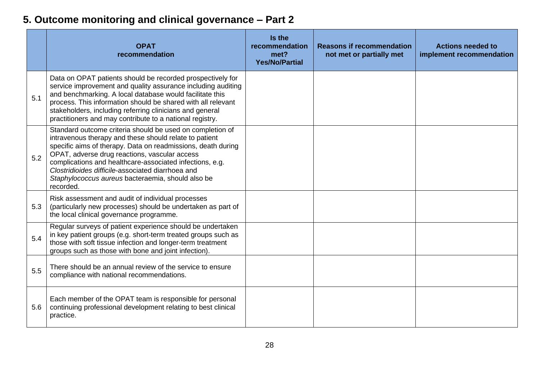# **5. Outcome monitoring and clinical governance – Part 2**

<span id="page-27-0"></span>

|     | <b>OPAT</b><br>recommendation                                                                                                                                                                                                                                                                                                                                                                                           | Is the<br>recommendation<br>met?<br><b>Yes/No/Partial</b> | <b>Reasons if recommendation</b><br>not met or partially met | <b>Actions needed to</b><br>implement recommendation |
|-----|-------------------------------------------------------------------------------------------------------------------------------------------------------------------------------------------------------------------------------------------------------------------------------------------------------------------------------------------------------------------------------------------------------------------------|-----------------------------------------------------------|--------------------------------------------------------------|------------------------------------------------------|
| 5.1 | Data on OPAT patients should be recorded prospectively for<br>service improvement and quality assurance including auditing<br>and benchmarking. A local database would facilitate this<br>process. This information should be shared with all relevant<br>stakeholders, including referring clinicians and general<br>practitioners and may contribute to a national registry.                                          |                                                           |                                                              |                                                      |
| 5.2 | Standard outcome criteria should be used on completion of<br>intravenous therapy and these should relate to patient<br>specific aims of therapy. Data on readmissions, death during<br>OPAT, adverse drug reactions, vascular access<br>complications and healthcare-associated infections, e.g.<br>Clostridioides difficile-associated diarrhoea and<br>Staphylococcus aureus bacteraemia, should also be<br>recorded. |                                                           |                                                              |                                                      |
| 5.3 | Risk assessment and audit of individual processes<br>(particularly new processes) should be undertaken as part of<br>the local clinical governance programme.                                                                                                                                                                                                                                                           |                                                           |                                                              |                                                      |
| 5.4 | Regular surveys of patient experience should be undertaken<br>in key patient groups (e.g. short-term treated groups such as<br>those with soft tissue infection and longer-term treatment<br>groups such as those with bone and joint infection).                                                                                                                                                                       |                                                           |                                                              |                                                      |
| 5.5 | There should be an annual review of the service to ensure<br>compliance with national recommendations.                                                                                                                                                                                                                                                                                                                  |                                                           |                                                              |                                                      |
| 5.6 | Each member of the OPAT team is responsible for personal<br>continuing professional development relating to best clinical<br>practice.                                                                                                                                                                                                                                                                                  |                                                           |                                                              |                                                      |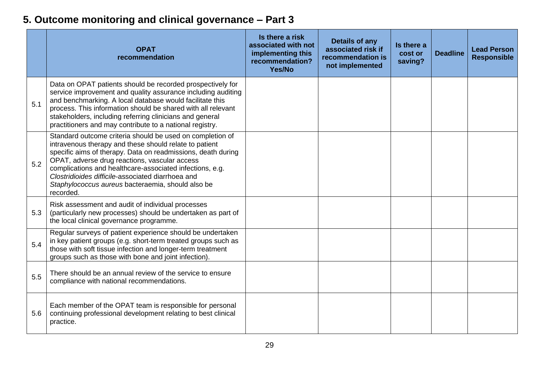# **5. Outcome monitoring and clinical governance – Part 3**

<span id="page-28-0"></span>

|     | <b>OPAT</b><br>recommendation                                                                                                                                                                                                                                                                                                                                                                                           | Is there a risk<br>associated with not<br>implementing this<br>recommendation?<br>Yes/No | <b>Details of any</b><br>associated risk if<br>recommendation is<br>not implemented | Is there a<br>cost or<br>saving? | <b>Deadline</b> | <b>Lead Person</b><br><b>Responsible</b> |
|-----|-------------------------------------------------------------------------------------------------------------------------------------------------------------------------------------------------------------------------------------------------------------------------------------------------------------------------------------------------------------------------------------------------------------------------|------------------------------------------------------------------------------------------|-------------------------------------------------------------------------------------|----------------------------------|-----------------|------------------------------------------|
| 5.1 | Data on OPAT patients should be recorded prospectively for<br>service improvement and quality assurance including auditing<br>and benchmarking. A local database would facilitate this<br>process. This information should be shared with all relevant<br>stakeholders, including referring clinicians and general<br>practitioners and may contribute to a national registry.                                          |                                                                                          |                                                                                     |                                  |                 |                                          |
| 5.2 | Standard outcome criteria should be used on completion of<br>intravenous therapy and these should relate to patient<br>specific aims of therapy. Data on readmissions, death during<br>OPAT, adverse drug reactions, vascular access<br>complications and healthcare-associated infections, e.g.<br>Clostridioides difficile-associated diarrhoea and<br>Staphylococcus aureus bacteraemia, should also be<br>recorded. |                                                                                          |                                                                                     |                                  |                 |                                          |
| 5.3 | Risk assessment and audit of individual processes<br>(particularly new processes) should be undertaken as part of<br>the local clinical governance programme.                                                                                                                                                                                                                                                           |                                                                                          |                                                                                     |                                  |                 |                                          |
| 5.4 | Regular surveys of patient experience should be undertaken<br>in key patient groups (e.g. short-term treated groups such as<br>those with soft tissue infection and longer-term treatment<br>groups such as those with bone and joint infection).                                                                                                                                                                       |                                                                                          |                                                                                     |                                  |                 |                                          |
| 5.5 | There should be an annual review of the service to ensure<br>compliance with national recommendations.                                                                                                                                                                                                                                                                                                                  |                                                                                          |                                                                                     |                                  |                 |                                          |
| 5.6 | Each member of the OPAT team is responsible for personal<br>continuing professional development relating to best clinical<br>practice.                                                                                                                                                                                                                                                                                  |                                                                                          |                                                                                     |                                  |                 |                                          |